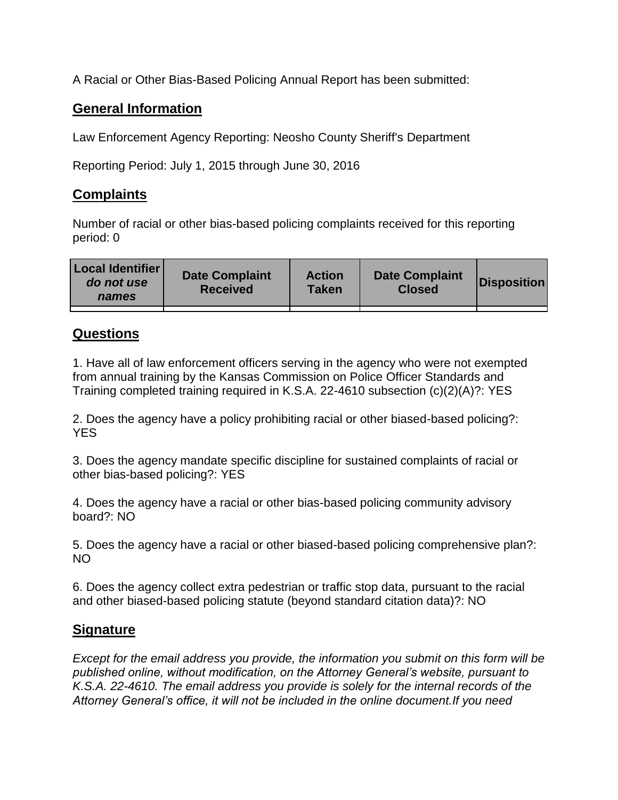A Racial or Other Bias-Based Policing Annual Report has been submitted:

## **General Information**

Law Enforcement Agency Reporting: Neosho County Sheriff's Department

Reporting Period: July 1, 2015 through June 30, 2016

## **Complaints**

Number of racial or other bias-based policing complaints received for this reporting period: 0

| <b>Local Identifier</b><br>do not use<br>names | <b>Date Complaint</b><br><b>Received</b> | <b>Action</b><br><b>Taken</b> | <b>Date Complaint</b><br><b>Closed</b> | Disposition |
|------------------------------------------------|------------------------------------------|-------------------------------|----------------------------------------|-------------|
|                                                |                                          |                               |                                        |             |

## **Questions**

1. Have all of law enforcement officers serving in the agency who were not exempted from annual training by the Kansas Commission on Police Officer Standards and Training completed training required in K.S.A. 22-4610 subsection (c)(2)(A)?: YES

2. Does the agency have a policy prohibiting racial or other biased-based policing?: YES

3. Does the agency mandate specific discipline for sustained complaints of racial or other bias-based policing?: YES

4. Does the agency have a racial or other bias-based policing community advisory board?: NO

5. Does the agency have a racial or other biased-based policing comprehensive plan?: NO

6. Does the agency collect extra pedestrian or traffic stop data, pursuant to the racial and other biased-based policing statute (beyond standard citation data)?: NO

## **Signature**

*Except for the email address you provide, the information you submit on this form will be published online, without modification, on the Attorney General's website, pursuant to K.S.A. 22-4610. The email address you provide is solely for the internal records of the Attorney General's office, it will not be included in the online document.If you need*